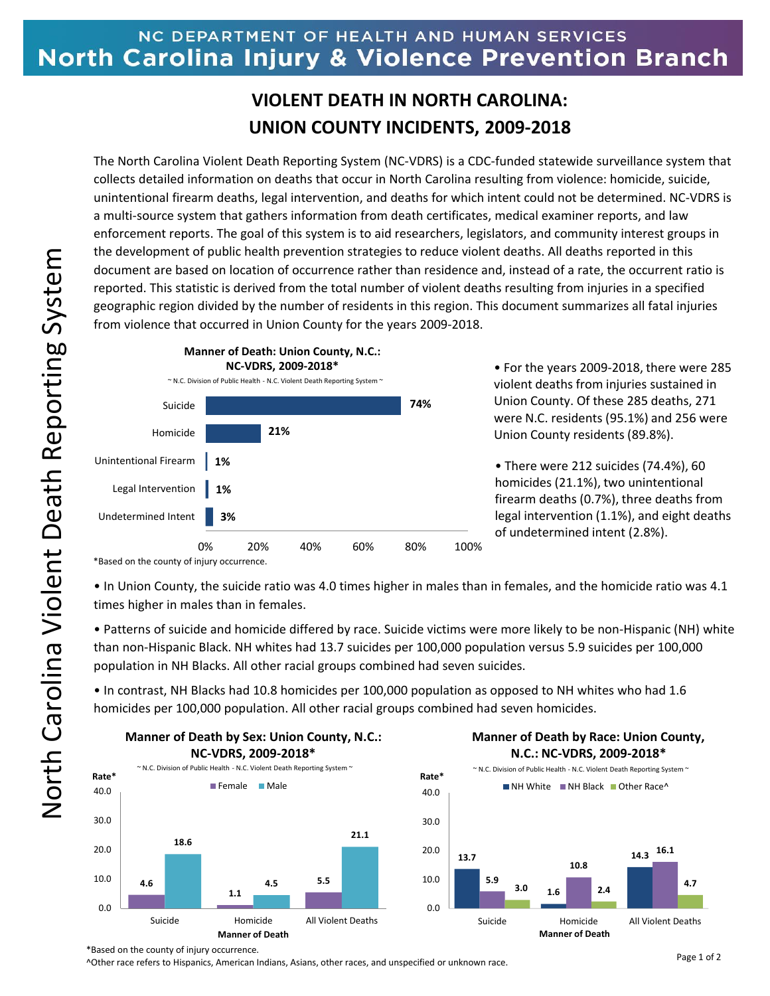## NC DEPARTMENT OF HEALTH AND HUMAN SERVICES North Carolina Injury & Violence Prevention Branch

## **VIOLENT DEATH IN NORTH CAROLINA: UNION COUNTY INCIDENTS, 2009-2018**

The North Carolina Violent Death Reporting System (NC-VDRS) is a CDC-funded statewide surveillance system that collects detailed information on deaths that occur in North Carolina resulting from violence: homicide, suicide, unintentional firearm deaths, legal intervention, and deaths for which intent could not be determined. NC-VDRS is a multi-source system that gathers information from death certificates, medical examiner reports, and law enforcement reports. The goal of this system is to aid researchers, legislators, and community interest groups in the development of public health prevention strategies to reduce violent deaths. All deaths reported in this document are based on location of occurrence rather than residence and, instead of a rate, the occurrent ratio is reported. This statistic is derived from the total number of violent deaths resulting from injuries in a specified geographic region divided by the number of residents in this region. This document summarizes all fatal injuries from violence that occurred in Union County for the years 2009-2018.



• For the years 2009-2018, there were 285 violent deaths from injuries sustained in Union County. Of these 285 deaths, 271 were N.C. residents (95.1%) and 256 were Union County residents (89.8%).

• There were 212 suicides (74.4%), 60 homicides (21.1%), two unintentional firearm deaths (0.7%), three deaths from legal intervention (1.1%), and eight deaths of undetermined intent (2.8%).

\*Based on the county of injury occurrence.

• In Union County, the suicide ratio was 4.0 times higher in males than in females, and the homicide ratio was 4.1 times higher in males than in females.

• Patterns of suicide and homicide differed by race. Suicide victims were more likely to be non-Hispanic (NH) white than non-Hispanic Black. NH whites had 13.7 suicides per 100,000 population versus 5.9 suicides per 100,000 population in NH Blacks. All other racial groups combined had seven suicides.

• In contrast, NH Blacks had 10.8 homicides per 100,000 population as opposed to NH whites who had 1.6 homicides per 100,000 population. All other racial groups combined had seven homicides.



## **M M Manner of Death by Race: Union County, N.C.: NC-VDRS, 2009-2018\***



\*Based on the county of injury occurrence.

^Other race refers to Hispanics, American Indians, Asians, other races, and unspecified or unknown race.